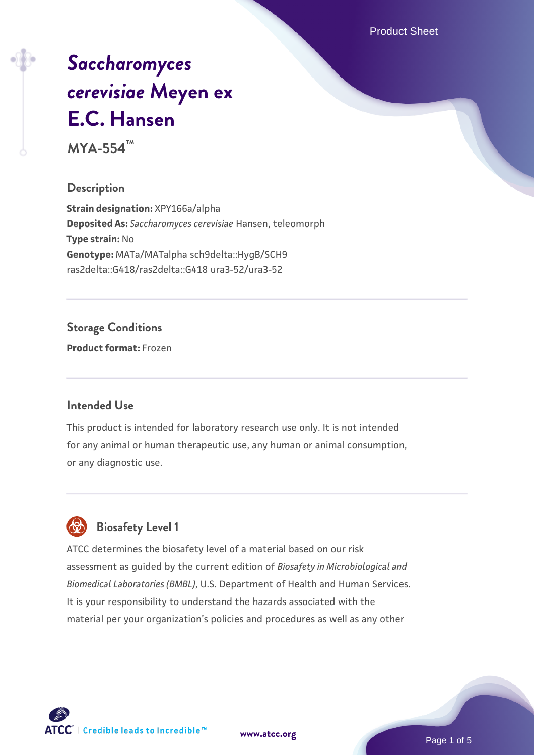Product Sheet

# *[Saccharomyces](https://www.atcc.org/products/mya-554) [cerevisiae](https://www.atcc.org/products/mya-554)* **[Meyen ex](https://www.atcc.org/products/mya-554) [E.C. Hansen](https://www.atcc.org/products/mya-554)**

**MYA-554™**

### **Description**

**Strain designation:** XPY166a/alpha **Deposited As:** *Saccharomyces cerevisiae* Hansen, teleomorph **Type strain:** No **Genotype:** MATa/MATalpha sch9delta::HygB/SCH9 ras2delta::G418/ras2delta::G418 ura3-52/ura3-52

### **Storage Conditions**

**Product format:** Frozen

### **Intended Use**

This product is intended for laboratory research use only. It is not intended for any animal or human therapeutic use, any human or animal consumption, or any diagnostic use.



### **Biosafety Level 1**

ATCC determines the biosafety level of a material based on our risk assessment as guided by the current edition of *Biosafety in Microbiological and Biomedical Laboratories (BMBL)*, U.S. Department of Health and Human Services. It is your responsibility to understand the hazards associated with the material per your organization's policies and procedures as well as any other

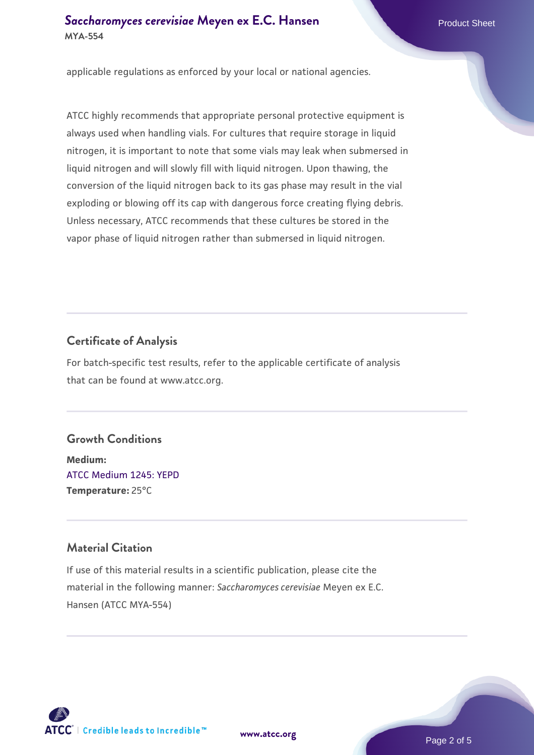### **[Saccharomyces cerevisiae](https://www.atcc.org/products/mya-554)** [Meyen ex E.C. Hansen](https://www.atcc.org/products/mya-554) **MYA-554**

applicable regulations as enforced by your local or national agencies.

ATCC highly recommends that appropriate personal protective equipment is always used when handling vials. For cultures that require storage in liquid nitrogen, it is important to note that some vials may leak when submersed in liquid nitrogen and will slowly fill with liquid nitrogen. Upon thawing, the conversion of the liquid nitrogen back to its gas phase may result in the vial exploding or blowing off its cap with dangerous force creating flying debris. Unless necessary, ATCC recommends that these cultures be stored in the vapor phase of liquid nitrogen rather than submersed in liquid nitrogen.

### **Certificate of Analysis**

For batch-specific test results, refer to the applicable certificate of analysis that can be found at www.atcc.org.

### **Growth Conditions**

**Medium:**  [ATCC Medium 1245: YEPD](https://www.atcc.org/-/media/product-assets/documents/microbial-media-formulations/1/2/4/5/atcc-medium-1245.pdf?rev=705ca55d1b6f490a808a965d5c072196) **Temperature:** 25°C

### **Material Citation**

If use of this material results in a scientific publication, please cite the material in the following manner: *Saccharomyces cerevisiae* Meyen ex E.C. Hansen (ATCC MYA-554)



**[www.atcc.org](http://www.atcc.org)**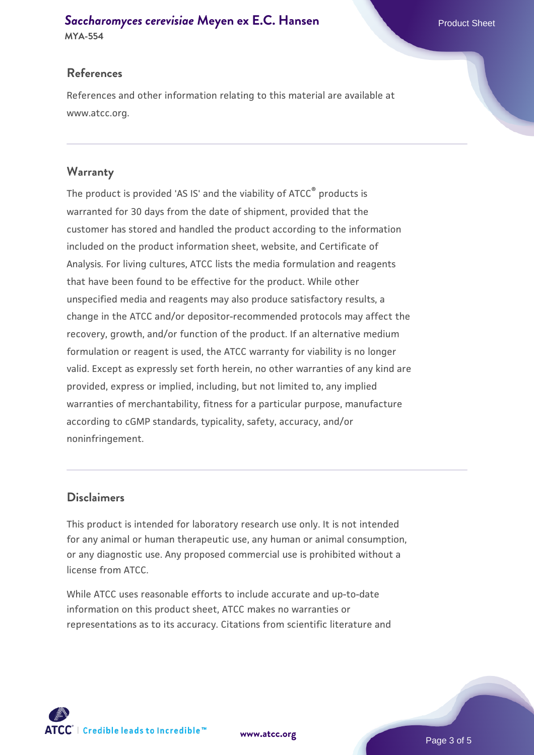## **[Saccharomyces cerevisiae](https://www.atcc.org/products/mya-554)** [Meyen ex E.C. Hansen](https://www.atcc.org/products/mya-554)

**MYA-554**

### **References**

References and other information relating to this material are available at www.atcc.org.

### **Warranty**

The product is provided 'AS IS' and the viability of ATCC® products is warranted for 30 days from the date of shipment, provided that the customer has stored and handled the product according to the information included on the product information sheet, website, and Certificate of Analysis. For living cultures, ATCC lists the media formulation and reagents that have been found to be effective for the product. While other unspecified media and reagents may also produce satisfactory results, a change in the ATCC and/or depositor-recommended protocols may affect the recovery, growth, and/or function of the product. If an alternative medium formulation or reagent is used, the ATCC warranty for viability is no longer valid. Except as expressly set forth herein, no other warranties of any kind are provided, express or implied, including, but not limited to, any implied warranties of merchantability, fitness for a particular purpose, manufacture according to cGMP standards, typicality, safety, accuracy, and/or noninfringement.

### **Disclaimers**

This product is intended for laboratory research use only. It is not intended for any animal or human therapeutic use, any human or animal consumption, or any diagnostic use. Any proposed commercial use is prohibited without a license from ATCC.

While ATCC uses reasonable efforts to include accurate and up-to-date information on this product sheet, ATCC makes no warranties or representations as to its accuracy. Citations from scientific literature and

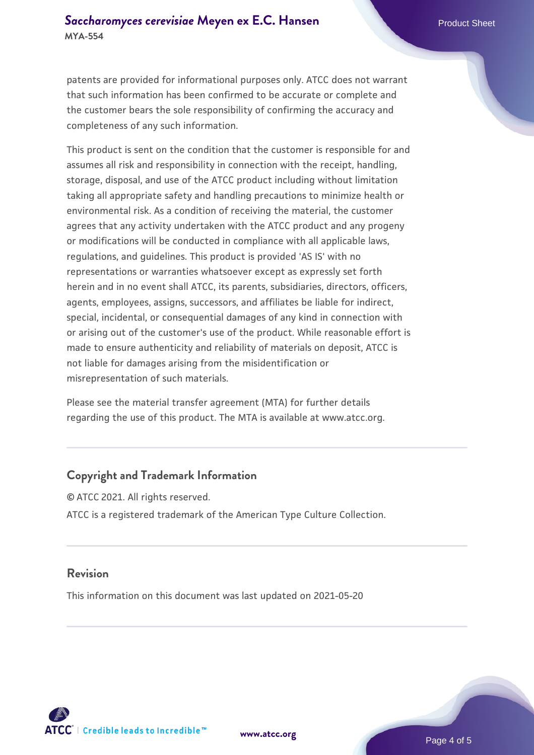patents are provided for informational purposes only. ATCC does not warrant that such information has been confirmed to be accurate or complete and the customer bears the sole responsibility of confirming the accuracy and completeness of any such information.

This product is sent on the condition that the customer is responsible for and assumes all risk and responsibility in connection with the receipt, handling, storage, disposal, and use of the ATCC product including without limitation taking all appropriate safety and handling precautions to minimize health or environmental risk. As a condition of receiving the material, the customer agrees that any activity undertaken with the ATCC product and any progeny or modifications will be conducted in compliance with all applicable laws, regulations, and guidelines. This product is provided 'AS IS' with no representations or warranties whatsoever except as expressly set forth herein and in no event shall ATCC, its parents, subsidiaries, directors, officers, agents, employees, assigns, successors, and affiliates be liable for indirect, special, incidental, or consequential damages of any kind in connection with or arising out of the customer's use of the product. While reasonable effort is made to ensure authenticity and reliability of materials on deposit, ATCC is not liable for damages arising from the misidentification or misrepresentation of such materials.

Please see the material transfer agreement (MTA) for further details regarding the use of this product. The MTA is available at www.atcc.org.

### **Copyright and Trademark Information**

© ATCC 2021. All rights reserved. ATCC is a registered trademark of the American Type Culture Collection.

#### **Revision**

This information on this document was last updated on 2021-05-20



**[www.atcc.org](http://www.atcc.org)**